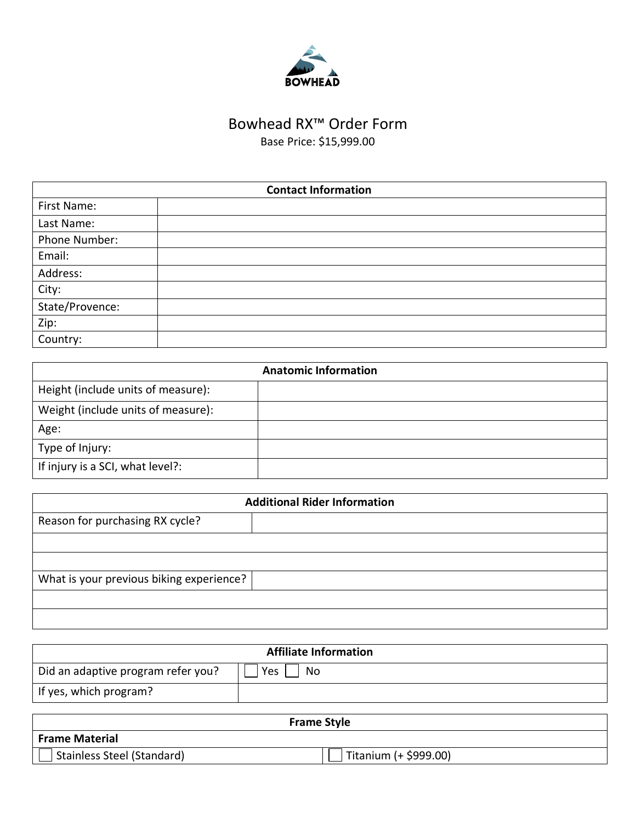

## Bowhead RX™ Order Form

Base Price: \$15,999.00

| <b>Contact Information</b> |  |
|----------------------------|--|
| First Name:                |  |
| Last Name:                 |  |
| Phone Number:              |  |
| Email:                     |  |
| Address:                   |  |
| City:                      |  |
| State/Provence:            |  |
| Zip:                       |  |
| Country:                   |  |

| <b>Anatomic Information</b>        |  |
|------------------------------------|--|
| Height (include units of measure): |  |
| Weight (include units of measure): |  |
| Age:                               |  |
| Type of Injury:                    |  |
| If injury is a SCI, what level?:   |  |

| <b>Additional Rider Information</b>      |  |  |
|------------------------------------------|--|--|
| Reason for purchasing RX cycle?          |  |  |
|                                          |  |  |
|                                          |  |  |
| What is your previous biking experience? |  |  |
|                                          |  |  |
|                                          |  |  |

| <b>Affiliate Information</b>       |           |  |
|------------------------------------|-----------|--|
| Did an adaptive program refer you? | Yes<br>No |  |
| If yes, which program?             |           |  |

| <b>Frame Style</b>         |                       |  |
|----------------------------|-----------------------|--|
| <b>Frame Material</b>      |                       |  |
| Stainless Steel (Standard) | Titanium (+ \$999.00) |  |